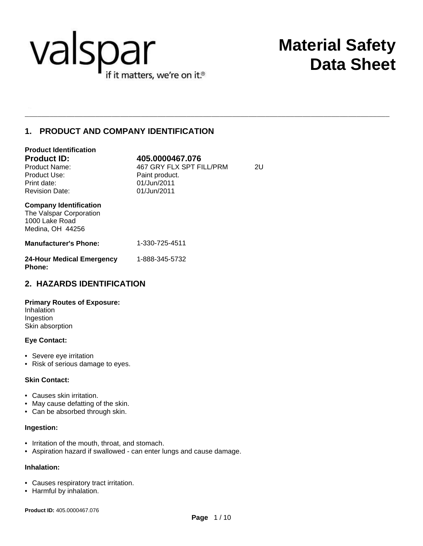

# **Material Safety Data Sheet**

## **1. PRODUCT AND COMPANY IDENTIFICATION**

| <b>Product Identification</b>                                                                  |                          |    |
|------------------------------------------------------------------------------------------------|--------------------------|----|
| <b>Product ID:</b>                                                                             | 405.0000467.076          |    |
| Product Name:                                                                                  | 467 GRY FLX SPT FILL/PRM | 2U |
| Product Use:                                                                                   | Paint product.           |    |
| Print date:                                                                                    | 01/Jun/2011              |    |
| <b>Revision Date:</b>                                                                          | 01/Jun/2011              |    |
| <b>Company Identification</b><br>The Valspar Corporation<br>1000 Lake Road<br>Medina, OH 44256 |                          |    |
| <b>Manufacturer's Phone:</b>                                                                   | 1-330-725-4511           |    |
| 24-Hour Medical Emergency<br><b>Phone:</b>                                                     | 1-888-345-5732           |    |

## **2. HAZARDS IDENTIFICATION**

## **Primary Routes of Exposure:**

Inhalation Ingestion Skin absorption

## **Eye Contact:**

- Severe eye irritation
- Risk of serious damage to eyes.

## **Skin Contact:**

- Causes skin irritation.
- May cause defatting of the skin.
- Can be absorbed through skin.

## **Ingestion:**

- Irritation of the mouth, throat, and stomach.
- Aspiration hazard if swallowed can enter lungs and cause damage.

## **Inhalation:**

- Causes respiratory tract irritation.
- Harmful by inhalation.

**Product ID:** 405.0000467.076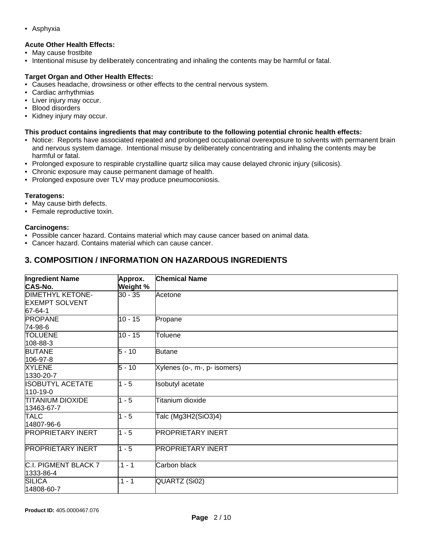• Asphyxia

## **Acute Other Health Effects:**

- May cause frostbite
- Intentional misuse by deliberately concentrating and inhaling the contents may be harmful or fatal.

## **Target Organ and Other Health Effects:**

- Causes headache, drowsiness or other effects to the central nervous system.
- Cardiac arrhythmias
- Liver injury may occur.
- Blood disorders
- Kidney injury may occur.

### **This product contains ingredients that may contribute to the following potential chronic health effects:**

- Notice: Reports have associated repeated and prolonged occupational overexposure to solvents with permanent brain and nervous system damage. Intentional misuse by deliberately concentrating and inhaling the contents may be harmful or fatal.
- Prolonged exposure to respirable crystalline quartz silica may cause delayed chronic injury (silicosis).
- Chronic exposure may cause permanent damage of health.
- Prolonged exposure over TLV may produce pneumoconiosis.

## **Teratogens:**

- May cause birth defects.
- Female reproductive toxin.

### **Carcinogens:**

- Possible cancer hazard. Contains material which may cause cancer based on animal data.
- Cancer hazard. Contains material which can cause cancer.

## **3. COMPOSITION / INFORMATION ON HAZARDOUS INGREDIENTS**

| <b>Ingredient Name</b><br><b>CAS-No.</b>                    | Approx.<br>Weight % | <b>Chemical Name</b>         |
|-------------------------------------------------------------|---------------------|------------------------------|
| <b>DIMETHYL KETONE-</b><br><b>EXEMPT SOLVENT</b><br>67-64-1 | 30 - 35             | Acetone                      |
| <b>PROPANE</b><br>74-98-6                                   | $10 - 15$           | Propane                      |
| <b>TOLUENE</b><br>108-88-3                                  | $10 - 15$           | Toluene                      |
| <b>BUTANE</b><br>106-97-8                                   | $5 - 10$            | <b>Butane</b>                |
| <b>XYLENE</b><br>1330-20-7                                  | $5 - 10$            | Xylenes (o-, m-, p- isomers) |
| <b>ISOBUTYL ACETATE</b><br>110-19-0                         | $1 - 5$             | <b>Isobutyl</b> acetate      |
| <b>TITANIUM DIOXIDE</b><br>13463-67-7                       | $1 - 5$             | Titanium dioxide             |
| <b>TALC</b><br>14807-96-6                                   | $1 - 5$             | Talc (Mg3H2(SiO3)4)          |
| <b>PROPRIETARY INERT</b>                                    | $1 - 5$             | <b>PROPRIETARY INERT</b>     |
| <b>PROPRIETARY INERT</b>                                    | $1 - 5$             | <b>PROPRIETARY INERT</b>     |
| C.I. PIGMENT BLACK 7<br>1333-86-4                           | $.1 - 1$            | Carbon black                 |
| <b>SILICA</b><br>14808-60-7                                 | $1 - 1$             | QUARTZ (Si02)                |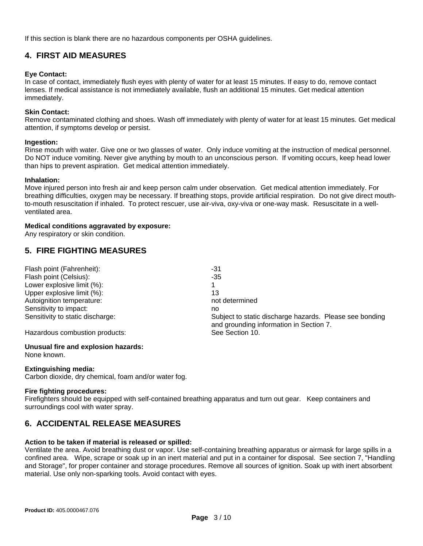If this section is blank there are no hazardous components per OSHA guidelines.

## **4. FIRST AID MEASURES**

## **Eye Contact:**

In case of contact, immediately flush eyes with plenty of water for at least 15 minutes. If easy to do, remove contact lenses. If medical assistance is not immediately available, flush an additional 15 minutes. Get medical attention immediately.

## **Skin Contact:**

Remove contaminated clothing and shoes. Wash off immediately with plenty of water for at least 15 minutes. Get medical attention, if symptoms develop or persist.

## **Ingestion:**

Rinse mouth with water. Give one or two glasses of water. Only induce vomiting at the instruction of medical personnel. Do NOT induce vomiting. Never give anything by mouth to an unconscious person. If vomiting occurs, keep head lower than hips to prevent aspiration. Get medical attention immediately.

### **Inhalation:**

Move injured person into fresh air and keep person calm under observation. Get medical attention immediately. For breathing difficulties, oxygen may be necessary. If breathing stops, provide artificial respiration. Do not give direct mouthto-mouth resuscitation if inhaled. To protect rescuer, use air-viva, oxy-viva or one-way mask. Resuscitate in a wellventilated area.

## **Medical conditions aggravated by exposure:**

Any respiratory or skin condition.

## **5. FIRE FIGHTING MEASURES**

| Flash point (Fahrenheit):        | -31                                                     |
|----------------------------------|---------------------------------------------------------|
| Flash point (Celsius):           | -35                                                     |
| Lower explosive limit (%):       |                                                         |
| Upper explosive limit (%):       | 13                                                      |
| Autoignition temperature:        | not determined                                          |
| Sensitivity to impact:           | no                                                      |
| Sensitivity to static discharge: | Subject to static discharge hazards. Please see bonding |
|                                  | and grounding information in Section 7.                 |
| Hazardous combustion products:   | See Section 10.                                         |

## **Unusual fire and explosion hazards:**

None known.

## **Extinguishing media:**

Carbon dioxide, dry chemical, foam and/or water fog.

## **Fire fighting procedures:**

Firefighters should be equipped with self-contained breathing apparatus and turn out gear. Keep containers and surroundings cool with water spray.

## **6. ACCIDENTAL RELEASE MEASURES**

## **Action to be taken if material is released or spilled:**

Ventilate the area. Avoid breathing dust or vapor. Use self-containing breathing apparatus or airmask for large spills in a confined area. Wipe, scrape or soak up in an inert material and put in a container for disposal. See section 7, "Handling and Storage", for proper container and storage procedures. Remove all sources of ignition. Soak up with inert absorbent material. Use only non-sparking tools. Avoid contact with eyes.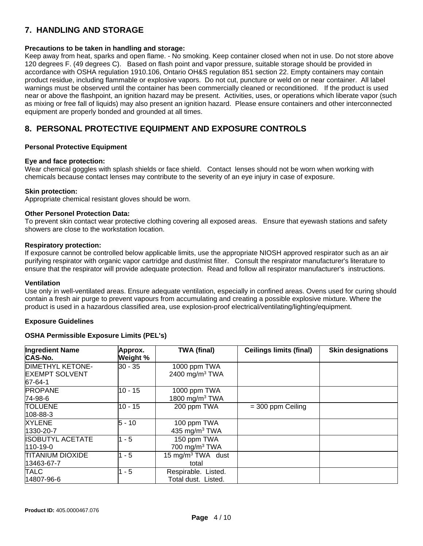## **7. HANDLING AND STORAGE**

## **Precautions to be taken in handling and storage:**

Keep away from heat, sparks and open flame. - No smoking. Keep container closed when not in use. Do not store above 120 degrees F. (49 degrees C). Based on flash point and vapor pressure, suitable storage should be provided in accordance with OSHA regulation 1910.106, Ontario OH&S regulation 851 section 22. Empty containers may contain product residue, including flammable or explosive vapors. Do not cut, puncture or weld on or near container. All label warnings must be observed until the container has been commercially cleaned or reconditioned. If the product is used near or above the flashpoint, an ignition hazard may be present. Activities, uses, or operations which liberate vapor (such as mixing or free fall of liquids) may also present an ignition hazard. Please ensure containers and other interconnected equipment are properly bonded and grounded at all times.

## **8. PERSONAL PROTECTIVE EQUIPMENT AND EXPOSURE CONTROLS**

## **Personal Protective Equipment**

## **Eye and face protection:**

Wear chemical goggles with splash shields or face shield. Contact lenses should not be worn when working with chemicals because contact lenses may contribute to the severity of an eye injury in case of exposure.

## **Skin protection:**

Appropriate chemical resistant gloves should be worn.

## **Other Personel Protection Data:**

To prevent skin contact wear protective clothing covering all exposed areas. Ensure that eyewash stations and safety showers are close to the workstation location.

### **Respiratory protection:**

If exposure cannot be controlled below applicable limits, use the appropriate NIOSH approved respirator such as an air purifying respirator with organic vapor cartridge and dust/mist filter. Consult the respirator manufacturer's literature to ensure that the respirator will provide adequate protection. Read and follow all respirator manufacturer's instructions.

#### **Ventilation**

Use only in well-ventilated areas. Ensure adequate ventilation, especially in confined areas. Ovens used for curing should contain a fresh air purge to prevent vapours from accumulating and creating a possible explosive mixture. Where the product is used in a hazardous classified area, use explosion-proof electrical/ventilating/lighting/equipment.

## **Exposure Guidelines**

## **OSHA Permissible Exposure Limits (PEL's)**

| <b>Ingredient Name</b><br><b>CAS-No.</b> | Approx.<br>Weight % | <b>TWA (final)</b>            | <b>Ceilings limits (final)</b> | <b>Skin designations</b> |
|------------------------------------------|---------------------|-------------------------------|--------------------------------|--------------------------|
| <b>DIMETHYL KETONE-</b>                  | $30 - 35$           | 1000 ppm TWA                  |                                |                          |
| <b>EXEMPT SOLVENT</b>                    |                     | 2400 mg/m <sup>3</sup> TWA    |                                |                          |
| 67-64-1                                  |                     |                               |                                |                          |
| <b>PROPANE</b>                           | 10 - 15             | 1000 ppm TWA                  |                                |                          |
| 74-98-6                                  |                     | 1800 mg/m $3$ TWA             |                                |                          |
| <b>TOLUENE</b>                           | 10 - 15             | 200 ppm TWA                   | $=$ 300 ppm Ceiling            |                          |
| 108-88-3                                 |                     |                               |                                |                          |
| <b>XYLENE</b>                            | $5 - 10$            | 100 ppm TWA                   |                                |                          |
| 1330-20-7                                |                     | 435 mg/m <sup>3</sup> TWA     |                                |                          |
| <b>ISOBUTYL ACETATE</b>                  | $1 - 5$             | 150 ppm TWA                   |                                |                          |
| $110 - 19 - 0$                           |                     | 700 mg/m $3$ TWA              |                                |                          |
| <b>TITANIUM DIOXIDE</b>                  | $1 - 5$             | 15 mg/m <sup>3</sup> TWA dust |                                |                          |
| 13463-67-7                               |                     | total                         |                                |                          |
| <b>TALC</b>                              | - 5                 | Respirable. Listed.           |                                |                          |
| 14807-96-6                               |                     | Total dust. Listed.           |                                |                          |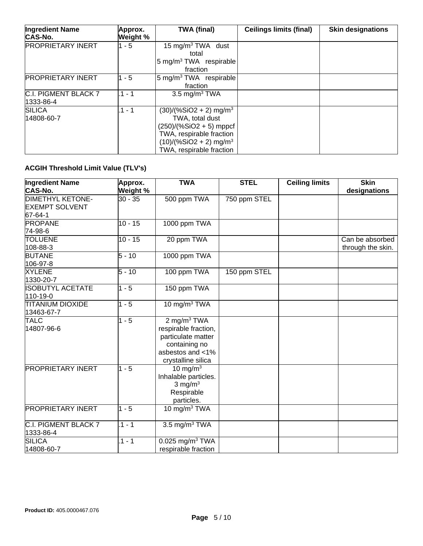| <b>Ingredient Name</b><br><b>CAS-No.</b> | Approx.<br>Weight % | <b>TWA (final)</b>                                                                                                                                                                   | <b>Ceilings limits (final)</b> | <b>Skin designations</b> |
|------------------------------------------|---------------------|--------------------------------------------------------------------------------------------------------------------------------------------------------------------------------------|--------------------------------|--------------------------|
| <b>PROPRIETARY INERT</b>                 | $1 - 5$             | 15 mg/m <sup>3</sup> TWA dust<br>total<br>5 mg/m <sup>3</sup> TWA respirable<br>fraction                                                                                             |                                |                          |
| <b>PROPRIETARY INERT</b>                 | $1 - 5$             | 5 mg/m <sup>3</sup> TWA respirable<br>fraction                                                                                                                                       |                                |                          |
| C.I. PIGMENT BLACK 7<br>1333-86-4        | $.1 - 1$            | 3.5 mg/m <sup>3</sup> TWA                                                                                                                                                            |                                |                          |
| <b>SILICA</b><br>14808-60-7              | $.1 - 1$            | $(30)/(%SiO2 + 2)$ mg/m <sup>3</sup><br>TWA, total dust<br>$(250)/(%SiO2 + 5)$ mppcf<br>TWA, respirable fraction<br>$(10)/(%SiO2 + 2)$ mg/m <sup>3</sup><br>TWA, respirable fraction |                                |                          |

## **ACGIH Threshold Limit Value (TLV's)**

| <b>Ingredient Name</b><br><b>CAS-No.</b>                    | Approx.<br>Weight % | <b>TWA</b>                                                                                                                         | <b>STEL</b>  | <b>Ceiling limits</b> | <b>Skin</b><br>designations          |
|-------------------------------------------------------------|---------------------|------------------------------------------------------------------------------------------------------------------------------------|--------------|-----------------------|--------------------------------------|
| <b>DIMETHYL KETONE-</b><br><b>EXEMPT SOLVENT</b><br>67-64-1 | 30 - 35             | 500 ppm TWA                                                                                                                        | 750 ppm STEL |                       |                                      |
| <b>PROPANE</b><br>74-98-6                                   | $10 - 15$           | 1000 ppm TWA                                                                                                                       |              |                       |                                      |
| <b>TOLUENE</b><br>108-88-3                                  | $10 - 15$           | 20 ppm TWA                                                                                                                         |              |                       | Can be absorbed<br>through the skin. |
| <b>BUTANE</b><br>106-97-8                                   | $5 - 10$            | 1000 ppm TWA                                                                                                                       |              |                       |                                      |
| <b>XYLENE</b><br>1330-20-7                                  | $5 - 10$            | 100 ppm TWA                                                                                                                        | 150 ppm STEL |                       |                                      |
| <b>ISOBUTYL ACETATE</b><br>110-19-0                         | $1 - 5$             | 150 ppm TWA                                                                                                                        |              |                       |                                      |
| <b>TITANIUM DIOXIDE</b><br>13463-67-7                       | $1 - 5$             | 10 mg/m <sup>3</sup> TWA                                                                                                           |              |                       |                                      |
| <b>TALC</b><br>14807-96-6                                   | $1 - 5$             | $2$ mg/m <sup>3</sup> TWA<br>respirable fraction,<br>particulate matter<br>containing no<br>asbestos and <1%<br>crystalline silica |              |                       |                                      |
| <b>PROPRIETARY INERT</b>                                    | $1 - 5$             | 10 mg/m $3$<br>Inhalable particles.<br>3 mg/ $m3$<br>Respirable<br>particles.                                                      |              |                       |                                      |
| <b>PROPRIETARY INERT</b>                                    | $1 - 5$             | 10 mg/m $3$ TWA                                                                                                                    |              |                       |                                      |
| C.I. PIGMENT BLACK 7<br>1333-86-4                           | $1 - 1$             | 3.5 mg/m $3$ TWA                                                                                                                   |              |                       |                                      |
| <b>SILICA</b><br>14808-60-7                                 | $.1 - 1$            | $0.025$ mg/m <sup>3</sup> TWA<br>respirable fraction                                                                               |              |                       |                                      |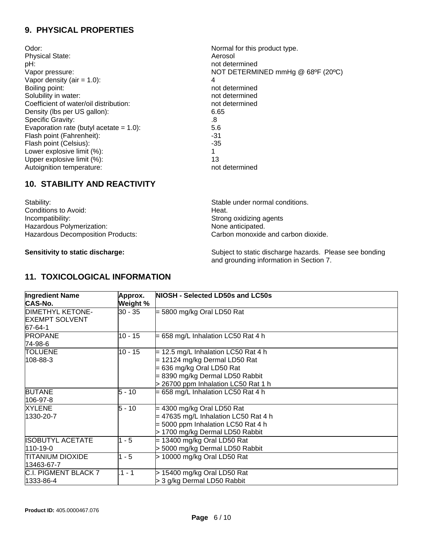## **9. PHYSICAL PROPERTIES**

| Odor:                                      | Normal for this product type.     |
|--------------------------------------------|-----------------------------------|
| <b>Physical State:</b>                     | Aerosol                           |
| pH:                                        | not determined                    |
| Vapor pressure:                            | NOT DETERMINED mmHg @ 68°F (20°C) |
| Vapor density (air = $1.0$ ):              | 4                                 |
| Boiling point:                             | not determined                    |
| Solubility in water:                       | not determined                    |
| Coefficient of water/oil distribution:     | not determined                    |
| Density (lbs per US gallon):               | 6.65                              |
| <b>Specific Gravity:</b>                   | .8                                |
| Evaporation rate (butyl acetate $= 1.0$ ): | 5.6                               |
| Flash point (Fahrenheit):                  | -31                               |
| Flash point (Celsius):                     | $-35$                             |
| Lower explosive limit (%):                 | 1                                 |
| Upper explosive limit (%):                 | 13                                |
| Autoignition temperature:                  | not determined                    |

## **10. STABILITY AND REACTIVITY**

| Stable under normal co  |
|-------------------------|
| Heat.                   |
| Strong oxidizing agents |
| None anticipated.       |
| Carbon monoxide and o   |
|                         |

Stable under normal conditions. Carbon monoxide and carbon dioxide.

Sensitivity to static discharge: **Sensitivity to static discharge hazards**. Please see bonding and grounding information in Section 7.

## **11. TOXICOLOGICAL INFORMATION**

| <b>Ingredient Name</b>  | Approx.   | NIOSH - Selected LD50s and LC50s       |
|-------------------------|-----------|----------------------------------------|
| <b>CAS-No.</b>          | Weight %  |                                        |
| <b>DIMETHYL KETONE-</b> | 30 - 35   | $=$ 5800 mg/kg Oral LD50 Rat           |
| <b>EXEMPT SOLVENT</b>   |           |                                        |
| 67-64-1                 |           |                                        |
| <b>PROPANE</b>          | $10 - 15$ | $= 658$ mg/L Inhalation LC50 Rat 4 h   |
| 74-98-6                 |           |                                        |
| TOLUENE                 | $10 - 15$ | $=$ 12.5 mg/L Inhalation LC50 Rat 4 h  |
| 108-88-3                |           | $= 12124$ mg/kg Dermal LD50 Rat        |
|                         |           | $= 636$ mg/kg Oral LD50 Rat            |
|                         |           | = 8390 mg/kg Dermal LD50 Rabbit        |
|                         |           | > 26700 ppm Inhalation LC50 Rat 1 h    |
| <b>BUTANE</b>           | 5 - 10    | $= 658$ mg/L Inhalation LC50 Rat 4 h   |
| 106-97-8                |           |                                        |
| <b>XYLENE</b>           | $5 - 10$  | $=$ 4300 mg/kg Oral LD50 Rat           |
| 1330-20-7               |           | $=$ 47635 mg/L Inhalation LC50 Rat 4 h |
|                         |           | = 5000 ppm Inhalation LC50 Rat 4 h     |
|                         |           | > 1700 mg/kg Dermal LD50 Rabbit        |
| <b>ISOBUTYL ACETATE</b> | $1 - 5$   | $= 13400$ mg/kg Oral LD50 Rat          |
| 110-19-0                |           | > 5000 mg/kg Dermal LD50 Rabbit        |
| TITANIUM DIOXIDE        | $1 - 5$   | > 10000 mg/kg Oral LD50 Rat            |
| 13463-67-7              |           |                                        |
| C.I. PIGMENT BLACK 7    | .1 - 1    | > 15400 mg/kg Oral LD50 Rat            |
| 1333-86-4               |           | > 3 g/kg Dermal LD50 Rabbit            |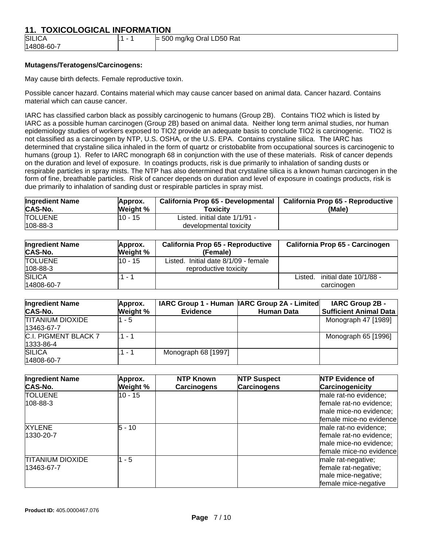## **11. TOXICOLOGICAL INFORMATION**

| <b>SILICA</b> |  | 500 mg/kg Oral LD50 Rat<br>$-$ |  |  |
|---------------|--|--------------------------------|--|--|
| 14808-60-7    |  |                                |  |  |

## **Mutagens/Teratogens/Carcinogens:**

May cause birth defects. Female reproductive toxin.

Possible cancer hazard. Contains material which may cause cancer based on animal data. Cancer hazard. Contains material which can cause cancer.

IARC has classified carbon black as possibly carcinogenic to humans (Group 2B). Contains TIO2 which is listed by IARC as a possible human carcinogen (Group 2B) based on animal data. Neither long term animal studies, nor human epidemiology studies of workers exposed to TIO2 provide an adequate basis to conclude TIO2 is carcinogenic. TIO2 is not classified as a carcinogen by NTP, U.S. OSHA, or the U.S. EPA. Contains crystaline silica. The IARC has determined that crystaline silica inhaled in the form of quartz or cristobablite from occupational sources is carcinogenic to humans (group 1). Refer to IARC monograph 68 in conjunction with the use of these materials. Risk of cancer depends on the duration and level of exposure. In coatings products, risk is due primarily to inhalation of sanding dusts or respirable particles in spray mists. The NTP has also determined that crystaline silica is a known human carcinogen in the form of fine, breathable particles. Risk of cancer depends on duration and level of exposure in coatings products, risk is due primarily to inhalation of sanding dust or respirable particles in spray mist.

| <b>Ingredient Name</b>           | Approx.  | California Prop 65 - Developmental                      | California Prop 65 - Reproductive |
|----------------------------------|----------|---------------------------------------------------------|-----------------------------------|
| CAS-No.                          | Weight % | Toxicitv                                                | (Male)                            |
| <b>TOLUENE</b><br>$108 - 88 - 3$ | l10 - 15 | Listed. initial date 1/1/91 -<br>developmental toxicity |                                   |

| <b>Ingredient Name</b><br><b>CAS-No.</b> | Approx.<br>Weight % | <b>California Prop 65 - Reproductive</b><br>(Female) | California Prop 65 - Carcinogen   |
|------------------------------------------|---------------------|------------------------------------------------------|-----------------------------------|
| <b>TOLUENE</b>                           | 10 - 15             | Initial date 8/1/09 - female<br>Listed.              |                                   |
| $108 - 88 - 3$                           |                     | reproductive toxicity                                |                                   |
| <b>SILICA</b>                            | 1 -                 |                                                      | initial date 10/1/88 -<br>Listed. |
| 14808-60-7                               |                     |                                                      | carcinogen                        |

| <b>Ingredient Name</b><br><b>CAS-No.</b> | Approx.<br>Weight % | <b>Evidence</b>     | IARC Group 1 - Human   IARC Group 2A - Limited <br><b>Human Data</b> | <b>IARC Group 2B -</b><br><b>Sufficient Animal Data</b> |
|------------------------------------------|---------------------|---------------------|----------------------------------------------------------------------|---------------------------------------------------------|
| <b>TITANIUM DIOXIDE</b><br>13463-67-7    | $1 - 5$             |                     |                                                                      | Monograph 47 [1989]                                     |
| C.I. PIGMENT BLACK 7<br>1333-86-4        | 1 - 1               |                     |                                                                      | Monograph 65 [1996]                                     |
| <b>SILICA</b><br>14808-60-7              | .1 - 1              | Monograph 68 [1997] |                                                                      |                                                         |

| <b>Ingredient Name</b><br><b>CAS-No.</b> | Approx.<br>Weight % | <b>NTP Known</b><br><b>Carcinogens</b> | <b>NTP Suspect</b><br><b>Carcinogens</b> | <b>NTP Evidence of</b><br>Carcinogenicity                                                             |
|------------------------------------------|---------------------|----------------------------------------|------------------------------------------|-------------------------------------------------------------------------------------------------------|
| <b>TOLUENE</b><br>108-88-3               | 10 - 15             |                                        |                                          | male rat-no evidence;<br>female rat-no evidence;<br>male mice-no evidence;<br>female mice-no evidence |
| <b>XYLENE</b><br>1330-20-7               | 5 - 10              |                                        |                                          | male rat-no evidence;<br>female rat-no evidence;<br>male mice-no evidence;<br>female mice-no evidence |
| <b>TITANIUM DIOXIDE</b><br>13463-67-7    | $-5$                |                                        |                                          | male rat-negative;<br>female rat-negative;<br>male mice-negative;<br>female mice-negative             |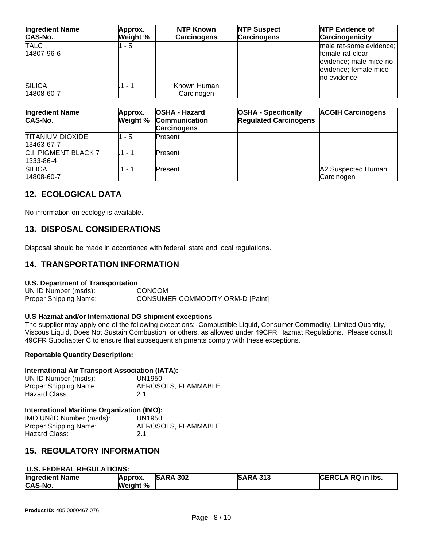| <b>Ingredient Name</b><br><b>CAS-No.</b> | Approx.<br>Weight % | <b>NTP Known</b><br><b>Carcinogens</b> | <b>NTP Suspect</b><br><b>Carcinogens</b> | <b>NTP Evidence of</b><br>Carcinogenicity                                                                      |
|------------------------------------------|---------------------|----------------------------------------|------------------------------------------|----------------------------------------------------------------------------------------------------------------|
| <b>TALC</b><br>14807-96-6                | 1 - 5               |                                        |                                          | male rat-some evidence;<br>female rat-clear<br>evidence; male mice-no<br>evidence; female mice-<br>no evidence |
| <b>SILICA</b><br>14808-60-7              | .1 - 1              | Known Human<br>Carcinogen              |                                          |                                                                                                                |

| <b>Ingredient Name</b><br>CAS-No.        | Approx.<br>Weight % | <b>OSHA - Hazard</b><br><b>Communication</b><br><b>Carcinogens</b> | <b>OSHA - Specifically</b><br><b>Regulated Carcinogens</b> | <b>ACGIH Carcinogens</b>         |
|------------------------------------------|---------------------|--------------------------------------------------------------------|------------------------------------------------------------|----------------------------------|
| <b>TITANIUM DIOXIDE</b><br>13463-67-7    | - 5                 | Present                                                            |                                                            |                                  |
| <b>C.I. PIGMENT BLACK 7</b><br>1333-86-4 | - 1                 | Present                                                            |                                                            |                                  |
| <b>SILICA</b><br>14808-60-7              | - 1                 | Present                                                            |                                                            | A2 Suspected Human<br>Carcinogen |

## **12. ECOLOGICAL DATA**

No information on ecology is available.

## **13. DISPOSAL CONSIDERATIONS**

Disposal should be made in accordance with federal, state and local regulations.

## **14. TRANSPORTATION INFORMATION**

## **U.S. Department of Transportation**

UN ID Number (msds): CONCOM Proper Shipping Name: CONSUMER COMMODITY ORM-D [Paint]

## **U.S Hazmat and/or International DG shipment exceptions**

The supplier may apply one of the following exceptions: Combustible Liquid, Consumer Commodity, Limited Quantity, Viscous Liquid, Does Not Sustain Combustion, or others, as allowed under 49CFR Hazmat Regulations. Please consult 49CFR Subchapter C to ensure that subsequent shipments comply with these exceptions.

## **Reportable Quantity Description:**

## **International Air Transport Association (IATA):**

| UN ID Number (msds):  | UN1950              |
|-----------------------|---------------------|
| Proper Shipping Name: | AEROSOLS, FLAMMABLE |
| Hazard Class:         | 2.1                 |

## **International Maritime Organization (IMO):**

IMO UN/ID Number (msds): UN1950 Proper Shipping Name: AEROSOLS, FLAMMABLE Hazard Class: 2.1

## **15. REGULATORY INFORMATION**

## **U.S. FEDERAL REGULATIONS:**

| <b>Ingredient Name</b><br><b>CAS-No.</b> | Approx.<br>Weight % | <b>SARA 302</b> | <b>SARA 313</b> | <b>CERCLA RQ in Ibs.</b> |
|------------------------------------------|---------------------|-----------------|-----------------|--------------------------|
|------------------------------------------|---------------------|-----------------|-----------------|--------------------------|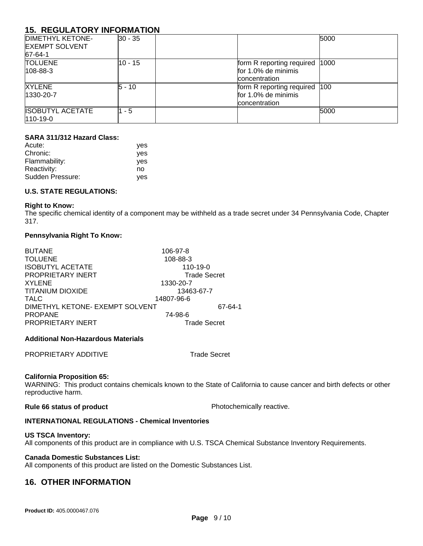## **15. REGULATORY INFORMATION**

| <b>DIMETHYL KETONE-</b><br><b>EXEMPT SOLVENT</b><br>67-64-1 | $ 30 - 35 $ | 5000                                                                     |
|-------------------------------------------------------------|-------------|--------------------------------------------------------------------------|
| <b>TOLUENE</b><br>$108 - 88 - 3$                            | 10 - 15     | form R reporting required   1000<br>for 1.0% de minimis<br>concentration |
| <b>XYLENE</b><br>1330-20-7                                  | 5 - 10      | form R reporting required 100<br>for 1.0% de minimis<br>concentration    |
| <b>ISOBUTYL ACETATE</b><br>$110-19-0$                       | $1 - 5$     | 5000                                                                     |

## **SARA 311/312 Hazard Class:**

| Acute:           | ves        |
|------------------|------------|
| Chronic:         | <b>ves</b> |
| Flammability:    | yes        |
| Reactivity:      | no         |
| Sudden Pressure: | yes        |

## **U.S. STATE REGULATIONS:**

### **Right to Know:**

The specific chemical identity of a component may be withheld as a trade secret under 34 Pennsylvania Code, Chapter 317.

## **Pennsylvania Right To Know:**

| <b>BUTANE</b><br><b>TOLUENE</b> | 106-97-8             |         |
|---------------------------------|----------------------|---------|
| <b>ISOBUTYL ACETATE</b>         | 108-88-3<br>110-19-0 |         |
| <b>PROPRIETARY INERT</b>        | <b>Trade Secret</b>  |         |
| <b>XYLENE</b>                   | 1330-20-7            |         |
| <b>TITANIUM DIOXIDE</b>         | 13463-67-7           |         |
| <b>TALC</b>                     | 14807-96-6           |         |
| DIMETHYL KETONE- EXEMPT SOLVENT |                      | 67-64-1 |
| <b>PROPANE</b>                  | 74-98-6              |         |
| <b>PROPRIETARY INERT</b>        | <b>Trade Secret</b>  |         |

## **Additional Non-Hazardous Materials**

PROPRIETARY ADDITIVE Trade Secret

## **California Proposition 65:**

WARNING: This product contains chemicals known to the State of California to cause cancer and birth defects or other reproductive harm.

**Rule 66 status of product Photochemically reactive.** 

## **INTERNATIONAL REGULATIONS - Chemical Inventories**

## **US TSCA Inventory:**

All components of this product are in compliance with U.S. TSCA Chemical Substance Inventory Requirements.

## **Canada Domestic Substances List:**

All components of this product are listed on the Domestic Substances List.

## **16. OTHER INFORMATION**